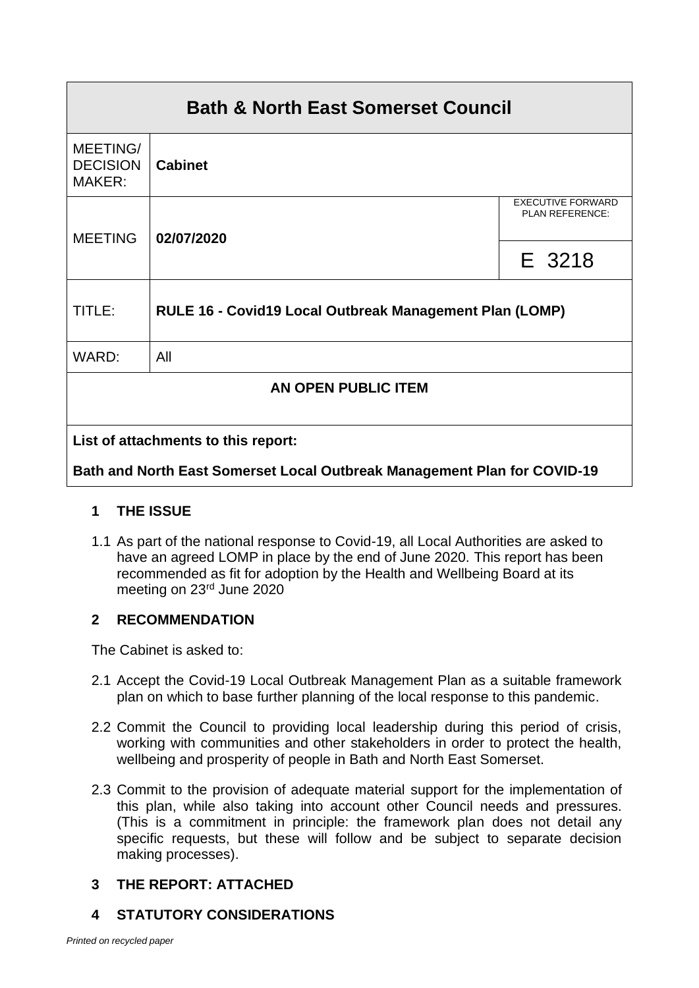| <b>Bath &amp; North East Somerset Council</b> |                                                         |                                             |  |
|-----------------------------------------------|---------------------------------------------------------|---------------------------------------------|--|
| MEETING/<br><b>DECISION</b><br>MAKER:         | <b>Cabinet</b>                                          |                                             |  |
| <b>MEETING</b>                                | 02/07/2020                                              | <b>EXECUTIVE FORWARD</b><br>PLAN REFERENCE: |  |
|                                               |                                                         | E 3218                                      |  |
| TITLE:                                        | RULE 16 - Covid19 Local Outbreak Management Plan (LOMP) |                                             |  |
| WARD:                                         | All                                                     |                                             |  |
| AN OPEN PUBLIC ITEM                           |                                                         |                                             |  |
| List of attachments to this report:           |                                                         |                                             |  |

**Bath and North East Somerset Local Outbreak Management Plan for COVID-19**

# **1 THE ISSUE**

1.1 As part of the national response to Covid-19, all Local Authorities are asked to have an agreed LOMP in place by the end of June 2020. This report has been recommended as fit for adoption by the Health and Wellbeing Board at its meeting on 23rd June 2020

## **2 RECOMMENDATION**

The Cabinet is asked to:

- 2.1 Accept the Covid-19 Local Outbreak Management Plan as a suitable framework plan on which to base further planning of the local response to this pandemic.
- 2.2 Commit the Council to providing local leadership during this period of crisis, working with communities and other stakeholders in order to protect the health, wellbeing and prosperity of people in Bath and North East Somerset.
- 2.3 Commit to the provision of adequate material support for the implementation of this plan, while also taking into account other Council needs and pressures. (This is a commitment in principle: the framework plan does not detail any specific requests, but these will follow and be subject to separate decision making processes).

# **3 THE REPORT: ATTACHED**

**4 STATUTORY CONSIDERATIONS**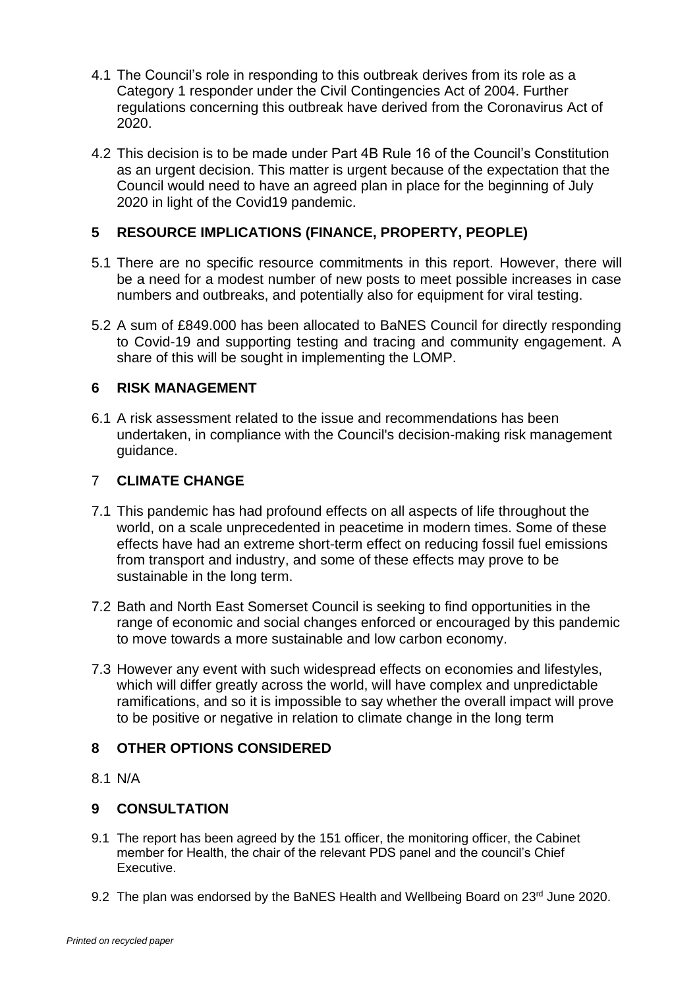- 4.1 The Council's role in responding to this outbreak derives from its role as a Category 1 responder under the Civil Contingencies Act of 2004. Further regulations concerning this outbreak have derived from the Coronavirus Act of 2020.
- 4.2 This decision is to be made under Part 4B Rule 16 of the Council's Constitution as an urgent decision. This matter is urgent because of the expectation that the Council would need to have an agreed plan in place for the beginning of July 2020 in light of the Covid19 pandemic.

### **5 RESOURCE IMPLICATIONS (FINANCE, PROPERTY, PEOPLE)**

- 5.1 There are no specific resource commitments in this report. However, there will be a need for a modest number of new posts to meet possible increases in case numbers and outbreaks, and potentially also for equipment for viral testing.
- 5.2 A sum of £849.000 has been allocated to BaNES Council for directly responding to Covid-19 and supporting testing and tracing and community engagement. A share of this will be sought in implementing the LOMP.

#### **6 RISK MANAGEMENT**

6.1 A risk assessment related to the issue and recommendations has been undertaken, in compliance with the Council's decision-making risk management guidance.

### 7 **CLIMATE CHANGE**

- 7.1 This pandemic has had profound effects on all aspects of life throughout the world, on a scale unprecedented in peacetime in modern times. Some of these effects have had an extreme short-term effect on reducing fossil fuel emissions from transport and industry, and some of these effects may prove to be sustainable in the long term.
- 7.2 Bath and North East Somerset Council is seeking to find opportunities in the range of economic and social changes enforced or encouraged by this pandemic to move towards a more sustainable and low carbon economy.
- 7.3 However any event with such widespread effects on economies and lifestyles, which will differ greatly across the world, will have complex and unpredictable ramifications, and so it is impossible to say whether the overall impact will prove to be positive or negative in relation to climate change in the long term

#### **8 OTHER OPTIONS CONSIDERED**

8.1 N/A

#### **9 CONSULTATION**

- 9.1 The report has been agreed by the 151 officer, the monitoring officer, the Cabinet member for Health, the chair of the relevant PDS panel and the council's Chief Executive.
- 9.2 The plan was endorsed by the BaNES Health and Wellbeing Board on  $23<sup>rd</sup>$  June 2020.